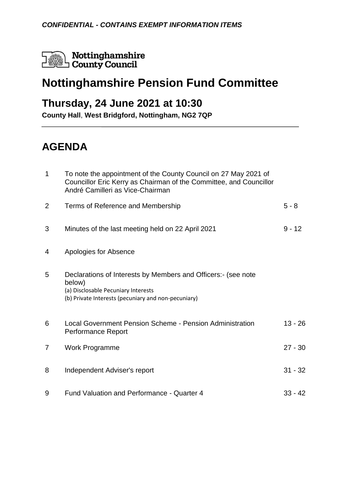Nottinghamshire Nottinghamshir<br>County Council

# **Nottinghamshire Pension Fund Committee**

### **Thursday, 24 June 2021 at 10:30**

**County Hall**, **West Bridgford, Nottingham, NG2 7QP**

## **AGENDA**

| $\mathbf 1$ | To note the appointment of the County Council on 27 May 2021 of<br>Councillor Eric Kerry as Chairman of the Committee, and Councillor<br>André Camilleri as Vice-Chairman |           |
|-------------|---------------------------------------------------------------------------------------------------------------------------------------------------------------------------|-----------|
| 2           | Terms of Reference and Membership                                                                                                                                         | $5 - 8$   |
| 3           | Minutes of the last meeting held on 22 April 2021                                                                                                                         | $9 - 12$  |
| 4           | Apologies for Absence                                                                                                                                                     |           |
| 5           | Declarations of Interests by Members and Officers: (see note<br>below)<br>(a) Disclosable Pecuniary Interests<br>(b) Private Interests (pecuniary and non-pecuniary)      |           |
| 6           | Local Government Pension Scheme - Pension Administration<br>Performance Report                                                                                            | $13 - 26$ |
| 7           | <b>Work Programme</b>                                                                                                                                                     | $27 - 30$ |
| 8           | Independent Adviser's report                                                                                                                                              | $31 - 32$ |
| 9           | Fund Valuation and Performance - Quarter 4                                                                                                                                | $33 - 42$ |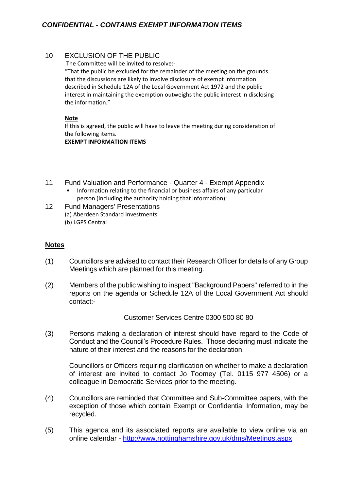#### 10 EXCLUSION OF THE PUBLIC

The Committee will be invited to resolve:-

"That the public be excluded for the remainder of the meeting on the grounds that the discussions are likely to involve disclosure of exempt information described in Schedule 12A of the Local Government Act 1972 and the public interest in maintaining the exemption outweighs the public interest in disclosing the information."

#### **Note**

If this is agreed, the public will have to leave the meeting during consideration of the following items.

#### **EXEMPT INFORMATION ITEMS**

- 11 Fund Valuation and Performance Quarter 4 Exempt Appendix
	- Information relating to the financial or business affairs of any particular person (including the authority holding that information);
- 12 Fund Managers' Presentations (a) Aberdeen Standard Investments (b) LGPS Central

### **Notes**

- (1) Councillors are advised to contact their Research Officer for details of any Group Meetings which are planned for this meeting.
- (2) Members of the public wishing to inspect "Background Papers" referred to in the reports on the agenda or Schedule 12A of the Local Government Act should contact:-

Customer Services Centre 0300 500 80 80

(3) Persons making a declaration of interest should have regard to the Code of Conduct and the Council's Procedure Rules. Those declaring must indicate the nature of their interest and the reasons for the declaration.

Councillors or Officers requiring clarification on whether to make a declaration of interest are invited to contact Jo Toomey (Tel. 0115 977 4506) or a colleague in Democratic Services prior to the meeting.

- (4) Councillors are reminded that Committee and Sub-Committee papers, with the exception of those which contain Exempt or Confidential Information, may be recycled.
- (5) This agenda and its associated reports are available to view online via an online calendar - <http://www.nottinghamshire.gov.uk/dms/Meetings.aspx>